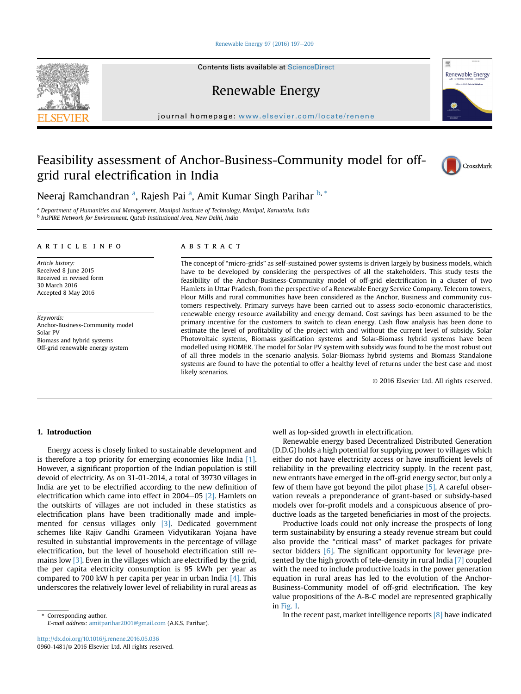# [Renewable Energy 97 \(2016\) 197](http://dx.doi.org/10.1016/j.renene.2016.05.036)-[209](http://dx.doi.org/10.1016/j.renene.2016.05.036)

Contents lists available at ScienceDirect

Renewable Energy

journal homepage: [www.elsevier.com/locate/renene](http://www.elsevier.com/locate/renene)

# Feasibility assessment of Anchor-Business-Community model for offgrid rural electrification in India



Renewable Energy

壓

Neeraj Ramchandran <sup>a</sup>, Rajesh Pai <sup>a</sup>, Amit Kumar Singh Parihar <sup>b, \*</sup>

<sup>a</sup> Department of Humanities and Management, Manipal Institute of Technology, Manipal, Karnataka, India **b** InsPIRE Network for Environment, Qutub Institutional Area, New Delhi, India

#### article info

Article history: Received 8 June 2015 Received in revised form 30 March 2016 Accepted 8 May 2016

Keywords: Anchor-Business-Community model Solar PV Biomass and hybrid systems Off-grid renewable energy system

# **ABSTRACT**

The concept of "micro-grids" as self-sustained power systems is driven largely by business models, which have to be developed by considering the perspectives of all the stakeholders. This study tests the feasibility of the Anchor-Business-Community model of off-grid electrification in a cluster of two Hamlets in Uttar Pradesh, from the perspective of a Renewable Energy Service Company. Telecom towers, Flour Mills and rural communities have been considered as the Anchor, Business and community customers respectively. Primary surveys have been carried out to assess socio-economic characteristics, renewable energy resource availability and energy demand. Cost savings has been assumed to be the primary incentive for the customers to switch to clean energy. Cash flow analysis has been done to estimate the level of profitability of the project with and without the current level of subsidy. Solar Photovoltaic systems, Biomass gasification systems and Solar-Biomass hybrid systems have been modelled using HOMER. The model for Solar PV system with subsidy was found to be the most robust out of all three models in the scenario analysis. Solar-Biomass hybrid systems and Biomass Standalone systems are found to have the potential to offer a healthy level of returns under the best case and most likely scenarios.

© 2016 Elsevier Ltd. All rights reserved.

# 1. Introduction

Energy access is closely linked to sustainable development and is therefore a top priority for emerging economies like India [\[1\].](#page--1-0) However, a significant proportion of the Indian population is still devoid of electricity. As on 31-01-2014, a total of 39730 villages in India are yet to be electrified according to the new definition of electrification which came into effect in  $2004-05$  [\[2\]](#page--1-0). Hamlets on the outskirts of villages are not included in these statistics as electrification plans have been traditionally made and implemented for census villages only [\[3\]](#page--1-0). Dedicated government schemes like Rajiv Gandhi Grameen Vidyutikaran Yojana have resulted in substantial improvements in the percentage of village electrification, but the level of household electrification still remains low [\[3\].](#page--1-0) Even in the villages which are electrified by the grid, the per capita electricity consumption is 95 kWh per year as compared to 700 kW h per capita per year in urban India  $[4]$ . This underscores the relatively lower level of reliability in rural areas as

E-mail address: [amitparihar2001@gmail.com](mailto:amitparihar2001@gmail.com) (A.K.S. Parihar).

well as lop-sided growth in electrification.

Renewable energy based Decentralized Distributed Generation (D.D.G) holds a high potential for supplying power to villages which either do not have electricity access or have insufficient levels of reliability in the prevailing electricity supply. In the recent past, new entrants have emerged in the off-grid energy sector, but only a few of them have got beyond the pilot phase [\[5\].](#page--1-0) A careful observation reveals a preponderance of grant-based or subsidy-based models over for-profit models and a conspicuous absence of productive loads as the targeted beneficiaries in most of the projects.

Productive loads could not only increase the prospects of long term sustainability by ensuring a steady revenue stream but could also provide the "critical mass" of market packages for private sector bidders [\[6\].](#page--1-0) The significant opportunity for leverage presented by the high growth of tele-density in rural India [\[7\]](#page--1-0) coupled with the need to include productive loads in the power generation equation in rural areas has led to the evolution of the Anchor-Business-Community model of off-grid electrification. The key value propositions of the A-B-C model are represented graphically in [Fig. 1.](#page--1-0)

Express of Corresponding author. The recent past, market intelligence reports [\[8\]](#page--1-0) have indicated

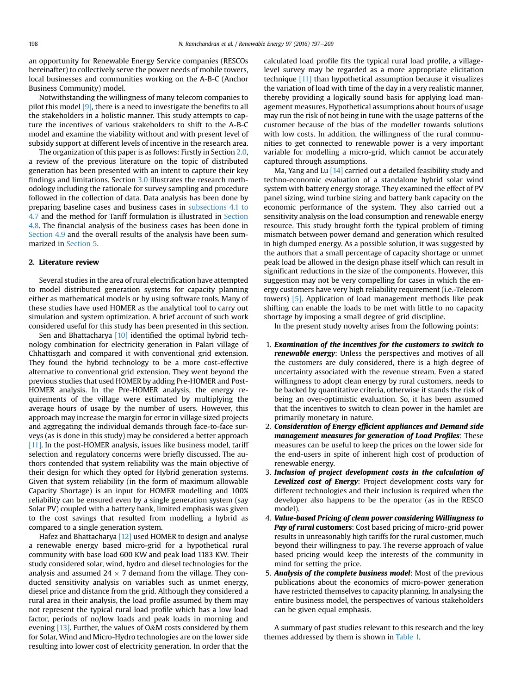an opportunity for Renewable Energy Service companies (RESCOs hereinafter) to collectively serve the power needs of mobile towers, local businesses and communities working on the A-B-C (Anchor Business Community) model.

Notwithstanding the willingness of many telecom companies to pilot this model [\[9\],](#page--1-0) there is a need to investigate the benefits to all the stakeholders in a holistic manner. This study attempts to capture the incentives of various stakeholders to shift to the A-B-C model and examine the viability without and with present level of subsidy support at different levels of incentive in the research area.

The organization of this paper is as follows: Firstly in Section 2.0, a review of the previous literature on the topic of distributed generation has been presented with an intent to capture their key findings and limitations. Section [3.0](#page--1-0) illustrates the research methodology including the rationale for survey sampling and procedure followed in the collection of data. Data analysis has been done by preparing baseline cases and business cases in [subsections 4.1 to](#page--1-0) [4.7](#page--1-0) and the method for Tariff formulation is illustrated in [Section](#page--1-0) [4.8](#page--1-0). The financial analysis of the business cases has been done in [Section 4.9](#page--1-0) and the overall results of the analysis have been summarized in [Section 5.](#page--1-0)

# 2. Literature review

Several studies in the area of rural electrification have attempted to model distributed generation systems for capacity planning either as mathematical models or by using software tools. Many of these studies have used HOMER as the analytical tool to carry out simulation and system optimization. A brief account of such work considered useful for this study has been presented in this section.

Sen and Bhattacharya [\[10\]](#page--1-0) identified the optimal hybrid technology combination for electricity generation in Palari village of Chhattisgarh and compared it with conventional grid extension. They found the hybrid technology to be a more cost-effective alternative to conventional grid extension. They went beyond the previous studies that used HOMER by adding Pre-HOMER and Post-HOMER analysis. In the Pre-HOMER analysis, the energy requirements of the village were estimated by multiplying the average hours of usage by the number of users. However, this approach may increase the margin for error in village sized projects and aggregating the individual demands through face-to-face surveys (as is done in this study) may be considered a better approach [\[11\]](#page--1-0). In the post-HOMER analysis, issues like business model, tariff selection and regulatory concerns were briefly discussed. The authors contended that system reliability was the main objective of their design for which they opted for Hybrid generation systems. Given that system reliability (in the form of maximum allowable Capacity Shortage) is an input for HOMER modelling and 100% reliability can be ensured even by a single generation system (say Solar PV) coupled with a battery bank, limited emphasis was given to the cost savings that resulted from modelling a hybrid as compared to a single generation system.

Hafez and Bhattacharya [\[12\]](#page--1-0) used HOMER to design and analyse a renewable energy based micro-grid for a hypothetical rural community with base load 600 KW and peak load 1183 KW. Their study considered solar, wind, hydro and diesel technologies for the analysis and assumed  $24 \times 7$  demand from the village. They conducted sensitivity analysis on variables such as unmet energy, diesel price and distance from the grid. Although they considered a rural area in their analysis, the load profile assumed by them may not represent the typical rural load profile which has a low load factor, periods of no/low loads and peak loads in morning and evening [\[13\].](#page--1-0) Further, the values of O&M costs considered by them for Solar, Wind and Micro-Hydro technologies are on the lower side resulting into lower cost of electricity generation. In order that the calculated load profile fits the typical rural load profile, a villagelevel survey may be regarded as a more appropriate elicitation technique [\[11\]](#page--1-0) than hypothetical assumption because it visualizes the variation of load with time of the day in a very realistic manner, thereby providing a logically sound basis for applying load management measures. Hypothetical assumptions about hours of usage may run the risk of not being in tune with the usage patterns of the customer because of the bias of the modeller towards solutions with low costs. In addition, the willingness of the rural communities to get connected to renewable power is a very important variable for modelling a micro-grid, which cannot be accurately captured through assumptions.

Ma, Yang and Lu <a>[\[14\]](#page--1-0)</a> carried out a detailed feasibility study and techno-economic evaluation of a standalone hybrid solar wind system with battery energy storage. They examined the effect of PV panel sizing, wind turbine sizing and battery bank capacity on the economic performance of the system. They also carried out a sensitivity analysis on the load consumption and renewable energy resource. This study brought forth the typical problem of timing mismatch between power demand and generation which resulted in high dumped energy. As a possible solution, it was suggested by the authors that a small percentage of capacity shortage or unmet peak load be allowed in the design phase itself which can result in significant reductions in the size of the components. However, this suggestion may not be very compelling for cases in which the energy customers have very high reliability requirement (i.e.-Telecom towers) [\[5\].](#page--1-0) Application of load management methods like peak shifting can enable the loads to be met with little to no capacity shortage by imposing a small degree of grid discipline.

In the present study novelty arises from the following points:

- 1. Examination of the incentives for the customers to switch to renewable energy: Unless the perspectives and motives of all the customers are duly considered, there is a high degree of uncertainty associated with the revenue stream. Even a stated willingness to adopt clean energy by rural customers, needs to be backed by quantitative criteria, otherwise it stands the risk of being an over-optimistic evaluation. So, it has been assumed that the incentives to switch to clean power in the hamlet are primarily monetary in nature.
- 2. Consideration of Energy efficient appliances and Demand side management measures for generation of Load Profiles: These measures can be useful to keep the prices on the lower side for the end-users in spite of inherent high cost of production of renewable energy.
- 3. Inclusion of project development costs in the calculation of Levelized cost of Energy: Project development costs vary for different technologies and their inclusion is required when the developer also happens to be the operator (as in the RESCO model).
- 4. Value-based Pricing of clean power considering Willingness to Pay of rural customers: Cost based pricing of micro-grid power results in unreasonably high tariffs for the rural customer, much beyond their willingness to pay. The reverse approach of value based pricing would keep the interests of the community in mind for setting the price.
- 5. Analysis of the complete business model: Most of the previous publications about the economics of micro-power generation have restricted themselves to capacity planning. In analysing the entire business model, the perspectives of various stakeholders can be given equal emphasis.

A summary of past studies relevant to this research and the key themes addressed by them is shown in [Table 1.](#page--1-0)